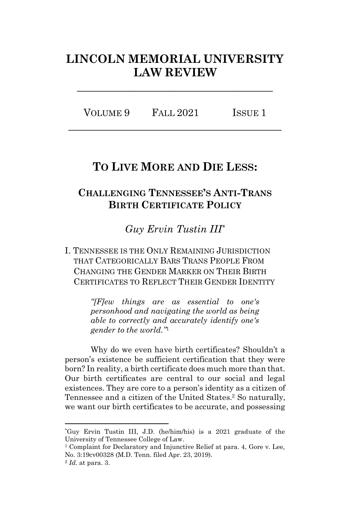# **LINCOLN MEMORIAL UNIVERSITY LAW REVIEW**

**\_\_\_\_\_\_\_\_\_\_\_\_\_\_\_\_\_\_\_\_\_\_\_\_\_\_\_\_\_\_\_\_\_\_**

VOLUME 9 FALL 2021 ISSUE 1 **\_\_\_\_\_\_\_\_\_\_\_\_\_\_\_\_\_\_\_\_\_\_\_\_\_\_\_\_\_\_\_\_\_\_\_\_\_**

# **TO LIVE MORE AND DIE LESS:**

# **CHALLENGING TENNESSEE'S ANTI-TRANS BIRTH CERTIFICATE POLICY**

*Guy Ervin Tustin III\**

I. TENNESSEE IS THE ONLY REMAINING JURISDICTION THAT CATEGORICALLY BARS TRANS PEOPLE FROM CHANGING THE GENDER MARKER ON THEIR BIRTH CERTIFICATES TO REFLECT THEIR GENDER IDENTITY

> *"[F]ew things are as essential to one's personhood and navigating the world as being able to correctly and accurately identify one's gender to the world."* 1

Why do we even have birth certificates? Shouldn't a person's existence be sufficient certification that they were born? In reality, a birth certificate does much more than that. Our birth certificates are central to our social and legal existences. They are core to a person's identity as a citizen of Tennessee and a citizen of the United States. <sup>2</sup> So naturally, we want our birth certificates to be accurate, and possessing

<sup>\*</sup>Guy Ervin Tustin III, J.D. (he/him/his) is a 2021 graduate of the University of Tennessee College of Law.

<sup>1</sup> Complaint for Declaratory and Injunctive Relief at para. 4, Gore v. Lee*,*  No. 3:19cv00328 (M.D. Tenn. filed Apr. 23, 2019).

<sup>2</sup> *Id.* at para. 3.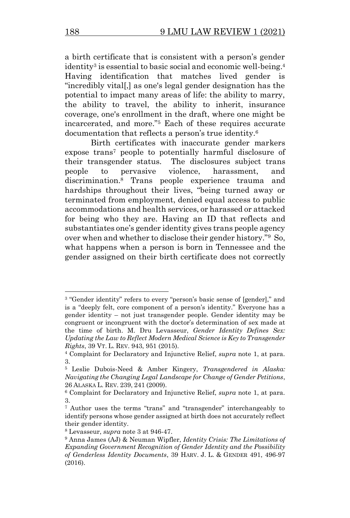a birth certificate that is consistent with a person's gender identity<sup>3</sup> is essential to basic social and economic well-being.<sup>4</sup> Having identification that matches lived gender is "incredibly vital[,] as one's legal gender designation has the potential to impact many areas of life: the ability to marry, the ability to travel, the ability to inherit, insurance coverage, one's enrollment in the draft, where one might be incarcerated, and more."<sup>5</sup> Each of these requires accurate documentation that reflects a person's true identity.<sup>6</sup>

Birth certificates with inaccurate gender markers expose trans<sup>7</sup> people to potentially harmful disclosure of their transgender status. The disclosures subject trans people to pervasive violence, harassment, and discrimination.<sup>8</sup> Trans people experience trauma and hardships throughout their lives, "being turned away or terminated from employment, denied equal access to public accommodations and health services, or harassed or attacked for being who they are. Having an ID that reflects and substantiates one's gender identity gives trans people agency over when and whether to disclose their gender history."<sup>9</sup> So, what happens when a person is born in Tennessee and the gender assigned on their birth certificate does not correctly

<sup>3</sup> "Gender identity" refers to every "person's basic sense of [gender]," and is a "deeply felt, core component of a person's identity." Everyone has a gender identity – not just transgender people. Gender identity may be congruent or incongruent with the doctor's determination of sex made at the time of birth. M. Dru Levasseur, *Gender Identity Defines Sex: Updating the Law to Reflect Modern Medical Science is Key to Transgender Rights*, 39 VT. L. REV. 943, 951 (2015).

<sup>4</sup> Complaint for Declaratory and Injunctive Relief, *supra* note 1, at para. 3.

<sup>5</sup> Leslie Dubois-Need & Amber Kingery, *Transgendered in Alaska: Navigating the Changing Legal Landscape for Change of Gender Petitions*, 26 ALASKA L. REV. 239, 241 (2009).

<sup>6</sup> Complaint for Declaratory and Injunctive Relief, *supra* note 1, at para. 3.

<sup>7</sup> Author uses the terms "trans" and "transgender" interchangeably to identify persons whose gender assigned at birth does not accurately reflect their gender identity.

<sup>8</sup> Levasseur, *supra* note 3 at 946-47.

<sup>9</sup> Anna James (AJ) & Neuman Wipfler, *Identity Crisis: The Limitations of Expanding Government Recognition of Gender Identity and the Possibility of Genderless Identity Documents*, 39 HARV. J. L. & GENDER 491, 496-97 (2016).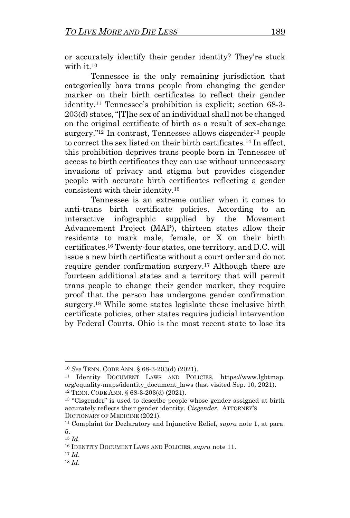or accurately identify their gender identity? They're stuck with it.<sup>10</sup>

Tennessee is the only remaining jurisdiction that categorically bars trans people from changing the gender marker on their birth certificates to reflect their gender identity.<sup>11</sup> Tennessee's prohibition is explicit; section 68-3- 203(d) states, "[T]he sex of an individual shall not be changed on the original certificate of birth as a result of sex-change surgery." $12$  In contrast, Tennessee allows cisgender $13$  people to correct the sex listed on their birth certificates.<sup>14</sup> In effect, this prohibition deprives trans people born in Tennessee of access to birth certificates they can use without unnecessary invasions of privacy and stigma but provides cisgender people with accurate birth certificates reflecting a gender consistent with their identity.<sup>15</sup>

Tennessee is an extreme outlier when it comes to anti-trans birth certificate policies. According to an interactive infographic supplied by the Movement Advancement Project (MAP), thirteen states allow their residents to mark male, female, or X on their birth certificates.<sup>16</sup> Twenty-four states, one territory, and D.C. will issue a new birth certificate without a court order and do not require gender confirmation surgery.<sup>17</sup> Although there are fourteen additional states and a territory that will permit trans people to change their gender marker, they require proof that the person has undergone gender confirmation surgery.<sup>18</sup> While some states legislate these inclusive birth certificate policies, other states require judicial intervention by Federal Courts. Ohio is the most recent state to lose its

<sup>10</sup> *See* TENN. CODE ANN. § 68-3-203(d) (2021).

<sup>11</sup> Identity DOCUMENT LAWS AND POLICIES, https://www.lgbtmap. org/equality-maps/identity\_document\_laws (last visited Sep. 10, 2021).

<sup>12</sup> TENN. CODE ANN. § 68-3-203(d) (2021).

<sup>&</sup>lt;sup>13</sup> "Cisgender" is used to describe people whose gender assigned at birth accurately reflects their gender identity. *Cisgender*, ATTORNEY'S DICTIONARY OF MEDICINE (2021).

<sup>14</sup> Complaint for Declaratory and Injunctive Relief, *supra* note 1, at para. 5.

<sup>15</sup> *Id*.

<sup>16</sup> IDENTITY DOCUMENT LAWS AND POLICIES, *supra* note 11.

<sup>17</sup> *Id*.

<sup>18</sup> *Id*.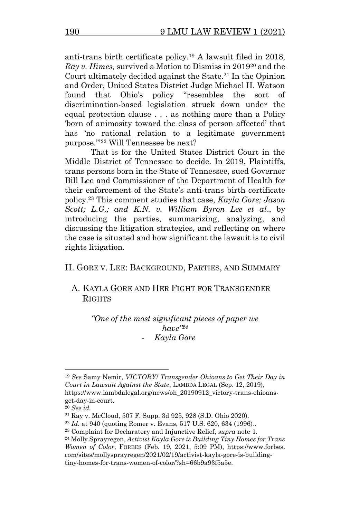anti-trans birth certificate policy.<sup>19</sup> A lawsuit filed in 2018, *Ray v. Himes,* survived a Motion to Dismiss in 2019<sup>20</sup> and the Court ultimately decided against the State.<sup>21</sup> In the Opinion and Order, United States District Judge Michael H. Watson found that Ohio's policy "resembles the sort of discrimination-based legislation struck down under the equal protection clause . . . as nothing more than a Policy 'born of animosity toward the class of person affected' that has 'no rational relation to a legitimate government purpose.'"<sup>22</sup> Will Tennessee be next?

That is for the United States District Court in the Middle District of Tennessee to decide. In 2019, Plaintiffs, trans persons born in the State of Tennessee, sued Governor Bill Lee and Commissioner of the Department of Health for their enforcement of the State's anti-trans birth certificate policy.<sup>23</sup> This comment studies that case, *Kayla Gore; Jason Scott; L.G.; and K.N. v. William Byron Lee et al*., by introducing the parties, summarizing, analyzing, and discussing the litigation strategies, and reflecting on where the case is situated and how significant the lawsuit is to civil rights litigation.

II. GORE V. LEE: BACKGROUND, PARTIES, AND SUMMARY

#### A. KAYLA GORE AND HER FIGHT FOR TRANSGENDER **RIGHTS**

*"One of the most significant pieces of paper we have"<sup>24</sup>* - *Kayla Gore*

<sup>19</sup> *See* Samy Nemir, *VICTORY! Transgender Ohioans to Get Their Day in Court in Lawsuit Against the State*, LAMBDA LEGAL (Sep. 12, 2019), https://www.lambdalegal.org/news/oh\_20190912\_victory-trans-ohioansget-day-in-court.

<sup>20</sup> *See id.*

<sup>21</sup> Ray v. McCloud, 507 F. Supp. 3d 925, 928 (S.D. Ohio 2020).

<sup>22</sup> *Id.* at 940 (quoting Romer v. Evans, 517 U.S. 620, 634 (1996)..

<sup>23</sup> Complaint for Declaratory and Injunctive Relief, *supra* note 1.

<sup>24</sup> Molly Sprayregen, *Activist Kayla Gore is Building Tiny Homes for Trans Women of Color*, FORBES (Feb. 19, 2021, 5:09 PM), https://www.forbes. com/sites/mollysprayregen/2021/02/19/activist-kayla-gore-is-buildingtiny-homes-for-trans-women-of-color/?sh=66b9a93f5a5e.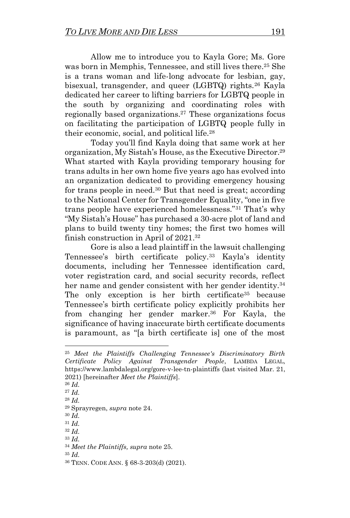Allow me to introduce you to Kayla Gore; Ms. Gore was born in Memphis, Tennessee, and still lives there. <sup>25</sup> She is a trans woman and life-long advocate for lesbian, gay, bisexual, transgender, and queer (LGBTQ) rights.<sup>26</sup> Kayla dedicated her career to lifting barriers for LGBTQ people in the south by organizing and coordinating roles with regionally based organizations.<sup>27</sup> These organizations focus on facilitating the participation of LGBTQ people fully in their economic, social, and political life.<sup>28</sup>

Today you'll find Kayla doing that same work at her organization, My Sistah's House, as the Executive Director.<sup>29</sup> What started with Kayla providing temporary housing for trans adults in her own home five years ago has evolved into an organization dedicated to providing emergency housing for trans people in need.<sup>30</sup> But that need is great; according to the National Center for Transgender Equality, "one in five trans people have experienced homelessness."<sup>31</sup> That's why "My Sistah's House" has purchased a 30-acre plot of land and plans to build twenty tiny homes; the first two homes will finish construction in April of 2021.<sup>32</sup>

Gore is also a lead plaintiff in the lawsuit challenging Tennessee's birth certificate policy.<sup>33</sup> Kayla's identity documents, including her Tennessee identification card, voter registration card, and social security records, reflect her name and gender consistent with her gender identity.<sup>34</sup> The only exception is her birth certificate<sup>35</sup> because Tennessee's birth certificate policy explicitly prohibits her from changing her gender marker.<sup>36</sup> For Kayla, the significance of having inaccurate birth certificate documents is paramount, as "[a birth certificate is] one of the most

<sup>26</sup> *Id.*

<sup>28</sup> *Id.*

<sup>30</sup> *Id.*

<sup>31</sup> *Id.*

<sup>32</sup> *Id.*

<sup>33</sup> *Id.*

<sup>35</sup> *Id.*

<sup>25</sup> *Meet the Plaintiffs Challenging Tennessee's Discriminatory Birth Certificate Policy Against Transgender People*, LAMBDA LEGAL, https://www.lambdalegal.org/gore-v-lee-tn-plaintiffs (last visited Mar. 21, 2021) [hereinafter *Meet the Plaintiffs*].

<sup>27</sup> *Id.* 

<sup>29</sup> Sprayregen, *supra* note 24.

<sup>34</sup> *Meet the Plaintiffs, supra* note 25.

<sup>36</sup> TENN. CODE ANN. § 68-3-203(d) (2021).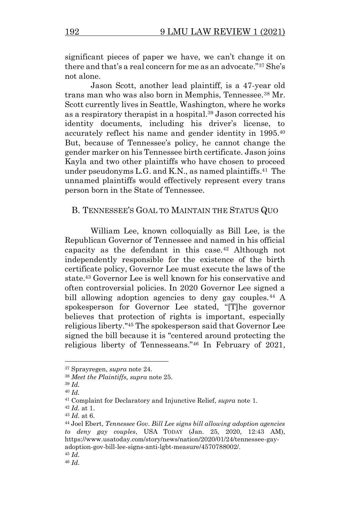significant pieces of paper we have, we can't change it on there and that's a real concern for me as an advocate."<sup>37</sup> She's not alone.

Jason Scott, another lead plaintiff, is a 47-year old trans man who was also born in Memphis, Tennessee.<sup>38</sup> Mr. Scott currently lives in Seattle, Washington, where he works as a respiratory therapist in a hospital. <sup>39</sup> Jason corrected his identity documents, including his driver's license, to accurately reflect his name and gender identity in 1995.<sup>40</sup> But, because of Tennessee's policy, he cannot change the gender marker on his Tennessee birth certificate. Jason joins Kayla and two other plaintiffs who have chosen to proceed under pseudonyms L.G. and K.N., as named plaintiffs. <sup>41</sup> The unnamed plaintiffs would effectively represent every trans person born in the State of Tennessee.

#### B. TENNESSEE'S GOAL TO MAINTAIN THE STATUS QUO

William Lee, known colloquially as Bill Lee, is the Republican Governor of Tennessee and named in his official capacity as the defendant in this case.<sup>42</sup> Although not independently responsible for the existence of the birth certificate policy, Governor Lee must execute the laws of the state.<sup>43</sup> Governor Lee is well known for his conservative and often controversial policies. In 2020 Governor Lee signed a bill allowing adoption agencies to deny gay couples.<sup>44</sup> A spokesperson for Governor Lee stated, "[T]he governor believes that protection of rights is important, especially religious liberty." <sup>45</sup> The spokesperson said that Governor Lee signed the bill because it is "centered around protecting the religious liberty of Tennesseans."<sup>46</sup> In February of 2021,

<sup>37</sup> Sprayregen, *supra* note 24.

<sup>38</sup> *Meet the Plaintiffs, supra* note 25.

<sup>39</sup> *Id.*

<sup>40</sup> *Id.*

<sup>41</sup> Complaint for Declaratory and Injunctive Relief, *supra* note 1.

<sup>42</sup> *Id.* at 1.

<sup>43</sup> *Id.* at 6.

<sup>44</sup> Joel Ebert, *Tennessee Gov. Bill Lee signs bill allowing adoption agencies to deny gay couples*, USA TODAY (Jan. 25, 2020, 12:43 AM), https://www.usatoday.com/story/news/nation/2020/01/24/tennessee-gayadoption-gov-bill-lee-signs-anti-lgbt-measure/4570788002/.

<sup>45</sup> *Id.* <sup>46</sup> *Id.*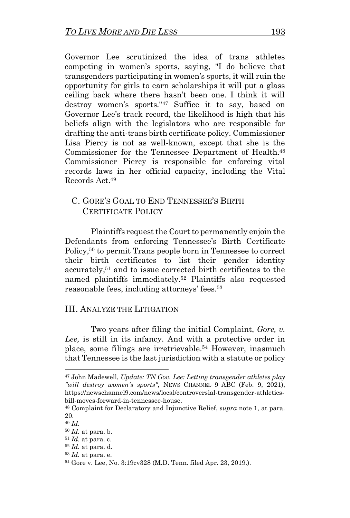Governor Lee scrutinized the idea of trans athletes competing in women's sports, saying, "I do believe that transgenders participating in women's sports, it will ruin the opportunity for girls to earn scholarships it will put a glass ceiling back where there hasn't been one. I think it will destroy women's sports."<sup>47</sup> Suffice it to say, based on Governor Lee's track record, the likelihood is high that his beliefs align with the legislators who are responsible for drafting the anti-trans birth certificate policy. Commissioner Lisa Piercy is not as well-known, except that she is the Commissioner for the Tennessee Department of Health.<sup>48</sup> Commissioner Piercy is responsible for enforcing vital records laws in her official capacity, including the Vital Records Act.<sup>49</sup>

### C. GORE'S GOAL TO END TENNESSEE'S BIRTH CERTIFICATE POLICY

Plaintiffs request the Court to permanently enjoin the Defendants from enforcing Tennessee's Birth Certificate Policy,<sup>50</sup> to permit Trans people born in Tennessee to correct their birth certificates to list their gender identity accurately, <sup>51</sup> and to issue corrected birth certificates to the named plaintiffs immediately. <sup>52</sup> Plaintiffs also requested reasonable fees, including attorneys' fees.<sup>53</sup>

#### III. ANALYZE THE LITIGATION

Two years after filing the initial Complaint, *Gore, v. Lee,* is still in its infancy*.* And with a protective order in place, some filings are irretrievable.<sup>54</sup> However, inasmuch that Tennessee is the last jurisdiction with a statute or policy

<sup>47</sup> John Madewell, *Update: TN Gov. Lee: Letting transgender athletes play "will destroy women's sports"*, NEWS CHANNEL 9 ABC (Feb. 9, 2021), https://newschannel9.com/news/local/controversial-transgender-athleticsbill-moves-forward-in-tennessee-house.

<sup>48</sup> Complaint for Declaratory and Injunctive Relief, *supra* note 1, at para. 20.

<sup>49</sup> *Id.*

<sup>50</sup> *Id.* at para. b.

<sup>51</sup> *Id.* at para. c.

<sup>52</sup> *Id.* at para. d.

<sup>53</sup> *Id.* at para. e.

<sup>54</sup> Gore v. Lee, No. 3:19cv328 (M.D. Tenn. filed Apr. 23, 2019.)*.*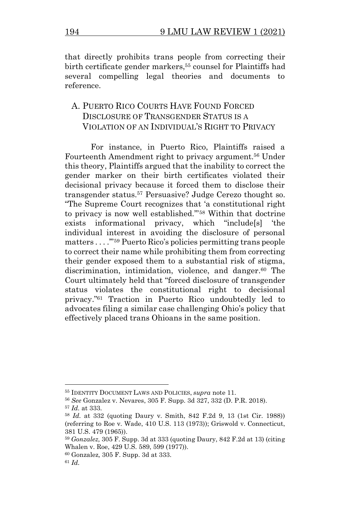that directly prohibits trans people from correcting their birth certificate gender markers,<sup>55</sup> counsel for Plaintiffs had several compelling legal theories and documents to reference.

### A. PUERTO RICO COURTS HAVE FOUND FORCED DISCLOSURE OF TRANSGENDER STATUS IS A VIOLATION OF AN INDIVIDUAL'S RIGHT TO PRIVACY

For instance, in Puerto Rico, Plaintiffs raised a Fourteenth Amendment right to privacy argument.<sup>56</sup> Under this theory, Plaintiffs argued that the inability to correct the gender marker on their birth certificates violated their decisional privacy because it forced them to disclose their transgender status.<sup>57</sup> Persuasive? Judge Cerezo thought so. "The Supreme Court recognizes that 'a constitutional right to privacy is now well established.'"<sup>58</sup> Within that doctrine exists informational privacy, which "include[s] 'the individual interest in avoiding the disclosure of personal matters . . . .'" <sup>59</sup> Puerto Rico's policies permitting trans people to correct their name while prohibiting them from correcting their gender exposed them to a substantial risk of stigma, discrimination, intimidation, violence, and danger.<sup>60</sup> The Court ultimately held that "forced disclosure of transgender status violates the constitutional right to decisional privacy." <sup>61</sup> Traction in Puerto Rico undoubtedly led to advocates filing a similar case challenging Ohio's policy that effectively placed trans Ohioans in the same position.

<sup>55</sup> IDENTITY DOCUMENT LAWS AND POLICIES, *supra* note 11.

<sup>56</sup> *See* Gonzalez v. Nevares, 305 F. Supp. 3d 327, 332 (D. P.R. 2018).

<sup>57</sup> *Id.* at 333.

<sup>58</sup> *Id.* at 332 (quoting Daury v. Smith, 842 F.2d 9, 13 (1st Cir. 1988)) (referring to Roe v. Wade, 410 U.S. 113 (1973)); Griswold v. Connecticut, 381 U.S. 479 (1965)).

<sup>59</sup> *Gonzalez,* 305 F. Supp. 3d at 333 (quoting Daury, 842 F.2d at 13) (citing Whalen v. Roe, 429 U.S. 589, 599 (1977)).

<sup>60</sup> Gonzalez*,* 305 F. Supp. 3d at 333.

<sup>61</sup> *Id.*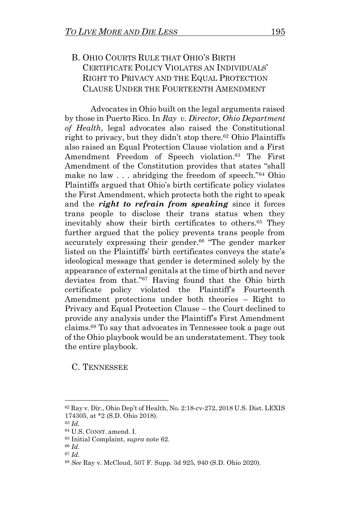## B. OHIO COURTS RULE THAT OHIO'S BIRTH CERTIFICATE POLICY VIOLATES AN INDIVIDUALS' RIGHT TO PRIVACY AND THE EQUAL PROTECTION CLAUSE UNDER THE FOURTEENTH AMENDMENT

Advocates in Ohio built on the legal arguments raised by those in Puerto Rico. In *Ray v. Director, Ohio Department of Health*, legal advocates also raised the Constitutional right to privacy, but they didn't stop there.<sup>62</sup> Ohio Plaintiffs also raised an Equal Protection Clause violation and a First Amendment Freedom of Speech violation. <sup>63</sup> The First Amendment of the Constitution provides that states "shall make no law . . . abridging the freedom of speech."<sup>64</sup> Ohio Plaintiffs argued that Ohio's birth certificate policy violates the First Amendment, which protects both the right to speak and the *right to refrain from speaking* since it forces trans people to disclose their trans status when they inevitably show their birth certificates to others.<sup>65</sup> They further argued that the policy prevents trans people from accurately expressing their gender.<sup>66</sup> "The gender marker listed on the Plaintiffs' birth certificates conveys the state's ideological message that gender is determined solely by the appearance of external genitals at the time of birth and never deviates from that." <sup>67</sup> Having found that the Ohio birth certificate policy violated the Plaintiff's Fourteenth Amendment protections under both theories – Right to Privacy and Equal Protection Clause – the Court declined to provide any analysis under the Plaintiff's First Amendment claims.<sup>68</sup> To say that advocates in Tennessee took a page out of the Ohio playbook would be an understatement. They took the entire playbook.

C. TENNESSEE

<sup>62</sup> Ray v. Dir., Ohio Dep't of Health, No. 2:18-cv-272, 2018 U.S. Dist. LEXIS 174305, at \*2 (S.D. Ohio 2018).

<sup>63</sup> *Id.*

<sup>64</sup> U.S. CONST. amend. I.

<sup>65</sup> Initial Complaint, *supra* note 62.

<sup>66</sup> *Id.*

<sup>67</sup> *Id.*

<sup>68</sup> *See* Ray v. McCloud, 507 F. Supp. 3d 925, 940 (S.D. Ohio 2020).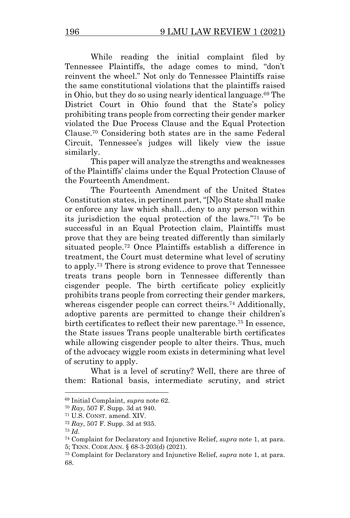While reading the initial complaint filed by Tennessee Plaintiffs, the adage comes to mind, "don't reinvent the wheel." Not only do Tennessee Plaintiffs raise the same constitutional violations that the plaintiffs raised in Ohio, but they do so using nearly identical language.<sup>69</sup> The District Court in Ohio found that the State's policy prohibiting trans people from correcting their gender marker violated the Due Process Clause and the Equal Protection Clause.<sup>70</sup> Considering both states are in the same Federal Circuit, Tennessee's judges will likely view the issue similarly.

This paper will analyze the strengths and weaknesses of the Plaintiffs' claims under the Equal Protection Clause of the Fourteenth Amendment.

The Fourteenth Amendment of the United States Constitution states, in pertinent part, "[N]o State shall make or enforce any law which shall…deny to any person within its jurisdiction the equal protection of the laws."<sup>71</sup> To be successful in an Equal Protection claim, Plaintiffs must prove that they are being treated differently than similarly situated people.<sup>72</sup> Once Plaintiffs establish a difference in treatment, the Court must determine what level of scrutiny to apply.<sup>73</sup> There is strong evidence to prove that Tennessee treats trans people born in Tennessee differently than cisgender people. The birth certificate policy explicitly prohibits trans people from correcting their gender markers, whereas cisgender people can correct theirs.<sup>74</sup> Additionally, adoptive parents are permitted to change their children's birth certificates to reflect their new parentage.<sup>75</sup> In essence, the State issues Trans people unalterable birth certificates while allowing cisgender people to alter theirs. Thus, much of the advocacy wiggle room exists in determining what level of scrutiny to apply.

What is a level of scrutiny? Well, there are three of them: Rational basis, intermediate scrutiny, and strict

<sup>69</sup> Initial Complaint, *supra* note 62.

<sup>70</sup> *Ray*, 507 F. Supp. 3d at 940.

<sup>71</sup> U.S. CONST. amend. XIV.

<sup>72</sup> *Ray*, 507 F. Supp. 3d at 935.

<sup>73</sup> *Id.*

<sup>74</sup> Complaint for Declaratory and Injunctive Relief, *supra* note 1, at para.

<sup>5;</sup> TENN. CODE ANN. § 68-3-203(d) (2021).

<sup>75</sup> Complaint for Declaratory and Injunctive Relief, *supra* note 1, at para. 68.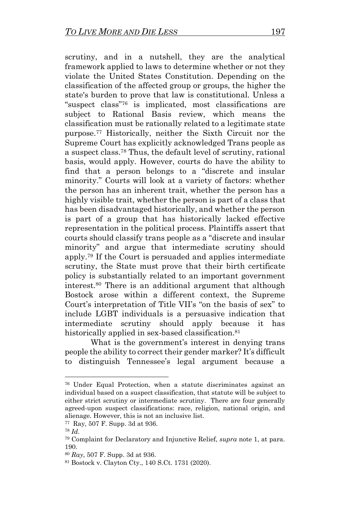scrutiny, and in a nutshell, they are the analytical framework applied to laws to determine whether or not they violate the United States Constitution. Depending on the classification of the affected group or groups, the higher the state's burden to prove that law is constitutional. Unless a "suspect class"<sup>76</sup> is implicated, most classifications are subject to Rational Basis review, which means the classification must be rationally related to a legitimate state purpose.<sup>77</sup> Historically, neither the Sixth Circuit nor the Supreme Court has explicitly acknowledged Trans people as a suspect class.<sup>78</sup> Thus, the default level of scrutiny, rational basis, would apply. However, courts do have the ability to find that a person belongs to a "discrete and insular minority." Courts will look at a variety of factors: whether the person has an inherent trait, whether the person has a highly visible trait, whether the person is part of a class that has been disadvantaged historically, and whether the person is part of a group that has historically lacked effective representation in the political process. Plaintiffs assert that courts should classify trans people as a "discrete and insular minority" and argue that intermediate scrutiny should apply.<sup>79</sup> If the Court is persuaded and applies intermediate scrutiny, the State must prove that their birth certificate policy is substantially related to an important government interest.<sup>80</sup> There is an additional argument that although Bostock arose within a different context, the Supreme Court's interpretation of Title VII's "on the basis of sex" to include LGBT individuals is a persuasive indication that intermediate scrutiny should apply because it has historically applied in sex-based classification.<sup>81</sup>

What is the government's interest in denying trans people the ability to correct their gender marker? It's difficult to distinguish Tennessee's legal argument because a

<sup>77</sup> Ray, 507 F. Supp. 3d at 936.

<sup>76</sup> Under Equal Protection, when a statute discriminates against an individual based on a suspect classification, that statute will be subject to either strict scrutiny or intermediate scrutiny. There are four generally agreed-upon suspect classifications: race, religion, national origin, and alienage. However, this is not an inclusive list.

<sup>78</sup> *Id.*

<sup>79</sup> Complaint for Declaratory and Injunctive Relief, *supra* note 1, at para. 190.

<sup>80</sup> *Ray*, 507 F. Supp. 3d at 936.

<sup>81</sup> Bostock v. Clayton Cty., 140 S.Ct. 1731 (2020).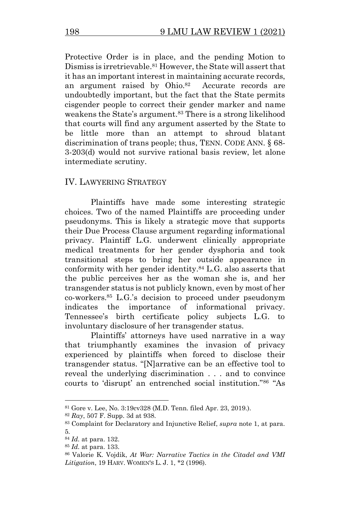Protective Order is in place, and the pending Motion to Dismiss is irretrievable. <sup>81</sup> However, the State will assert that it has an important interest in maintaining accurate records, an argument raised by Ohio.<sup>82</sup> Accurate records are undoubtedly important, but the fact that the State permits cisgender people to correct their gender marker and name weakens the State's argument.<sup>83</sup> There is a strong likelihood that courts will find any argument asserted by the State to be little more than an attempt to shroud blatant discrimination of trans people; thus, TENN. CODE ANN. § 68- 3-203(d) would not survive rational basis review, let alone intermediate scrutiny.

#### IV. LAWYERING STRATEGY

Plaintiffs have made some interesting strategic choices. Two of the named Plaintiffs are proceeding under pseudonyms. This is likely a strategic move that supports their Due Process Clause argument regarding informational privacy. Plaintiff L.G. underwent clinically appropriate medical treatments for her gender dysphoria and took transitional steps to bring her outside appearance in conformity with her gender identity.<sup>84</sup> L.G. also asserts that the public perceives her as the woman she is, and her transgender status is not publicly known, even by most of her co-workers.<sup>85</sup> L.G.'s decision to proceed under pseudonym indicates the importance of informational privacy. Tennessee's birth certificate policy subjects L.G. to involuntary disclosure of her transgender status.

Plaintiffs' attorneys have used narrative in a way that triumphantly examines the invasion of privacy experienced by plaintiffs when forced to disclose their transgender status. "[N]arrative can be an effective tool to reveal the underlying discrimination . . . and to convince courts to 'disrupt' an entrenched social institution."<sup>86</sup> "As

<sup>81</sup> Gore v. Lee, No. 3:19cv328 (M.D. Tenn. filed Apr. 23, 2019.).

<sup>82</sup> *Ray*, 507 F. Supp. 3d at 938.

<sup>83</sup> Complaint for Declaratory and Injunctive Relief, *supra* note 1, at para. 5*.*

<sup>84</sup> *Id.* at para. 132.

<sup>85</sup> *Id.* at para. 133.

<sup>86</sup> Valorie K. Vojdik, *At War: Narrative Tactics in the Citadel and VMI Litigation*, 19 HARV. WOMEN'S L. J. 1, \*2 (1996).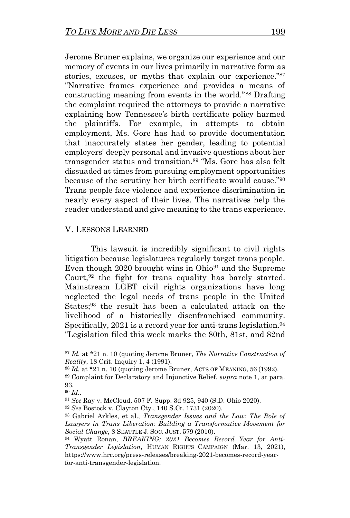Jerome Bruner explains, we organize our experience and our memory of events in our lives primarily in narrative form as stories, excuses, or myths that explain our experience."<sup>87</sup> "Narrative frames experience and provides a means of constructing meaning from events in the world."<sup>88</sup> Drafting the complaint required the attorneys to provide a narrative explaining how Tennessee's birth certificate policy harmed the plaintiffs. For example, in attempts to obtain employment, Ms. Gore has had to provide documentation that inaccurately states her gender, leading to potential employers' deeply personal and invasive questions about her transgender status and transition.<sup>89</sup> "Ms. Gore has also felt dissuaded at times from pursuing employment opportunities because of the scrutiny her birth certificate would cause."<sup>90</sup> Trans people face violence and experience discrimination in nearly every aspect of their lives. The narratives help the reader understand and give meaning to the trans experience.

#### V. LESSONS LEARNED

This lawsuit is incredibly significant to civil rights litigation because legislatures regularly target trans people. Even though  $2020$  brought wins in  $Ohio<sup>91</sup>$  and the Supreme Court,  $92$  the fight for trans equality has barely started. Mainstream LGBT civil rights organizations have long neglected the legal needs of trans people in the United States; <sup>93</sup> the result has been a calculated attack on the livelihood of a historically disenfranchised community. Specifically, 2021 is a record year for anti-trans legislation.<sup>94</sup> "Legislation filed this week marks the 80th, 81st, and 82nd

<sup>87</sup> *Id.* at \*21 n. 10 (quoting Jerome Bruner, *The Narrative Construction of Reality*, 18 Crit. Inquiry 1, 4 (1991).

<sup>88</sup> *Id.* at \*21 n. 10 (quoting Jerome Bruner, ACTS OF MEANING, 56 (1992).

<sup>89</sup> Complaint for Declaratory and Injunctive Relief, *supra* note 1, at para. 93.

<sup>90</sup> *Id.*.

<sup>91</sup> *See* Ray v. McCloud, 507 F. Supp. 3d 925, 940 (S.D. Ohio 2020).

<sup>92</sup> *See* Bostock v. Clayton Cty., 140 S.Ct. 1731 (2020).

<sup>93</sup> Gabriel Arkles, et al., *Transgender Issues and the Law: The Role of Lawyers in Trans Liberation: Building a Transformative Movement for Social Change*, 8 SEATTLE J. SOC. JUST. 579 (2010).

<sup>94</sup> Wyatt Ronan, *BREAKING: 2021 Becomes Record Year for Anti-Transgender Legislation*, HUMAN RIGHTS CAMPAIGN (Mar. 13, 2021), https://www.hrc.org/press-releases/breaking-2021-becomes-record-yearfor-anti-transgender-legislation.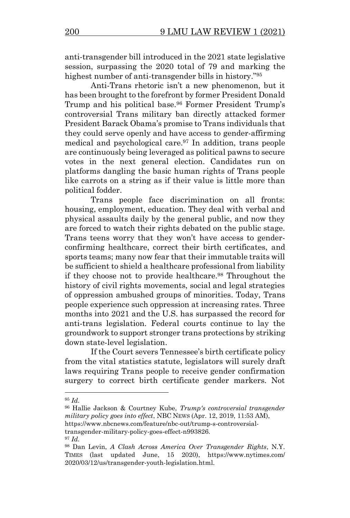anti-transgender bill introduced in the 2021 state legislative session, surpassing the 2020 total of 79 and marking the highest number of anti-transgender bills in history."<sup>95</sup>

Anti-Trans rhetoric isn't a new phenomenon, but it has been brought to the forefront by former President Donald Trump and his political base.<sup>96</sup> Former President Trump's controversial Trans military ban directly attacked former President Barack Obama's promise to Trans individuals that they could serve openly and have access to gender-affirming medical and psychological care.<sup>97</sup> In addition, trans people are continuously being leveraged as political pawns to secure votes in the next general election. Candidates run on platforms dangling the basic human rights of Trans people like carrots on a string as if their value is little more than political fodder.

Trans people face discrimination on all fronts: housing, employment, education. They deal with verbal and physical assaults daily by the general public, and now they are forced to watch their rights debated on the public stage. Trans teens worry that they won't have access to genderconfirming healthcare, correct their birth certificates, and sports teams; many now fear that their immutable traits will be sufficient to shield a healthcare professional from liability if they choose not to provide healthcare.<sup>98</sup> Throughout the history of civil rights movements, social and legal strategies of oppression ambushed groups of minorities. Today, Trans people experience such oppression at increasing rates. Three months into 2021 and the U.S. has surpassed the record for anti-trans legislation. Federal courts continue to lay the groundwork to support stronger trans protections by striking down state-level legislation.

If the Court severs Tennessee's birth certificate policy from the vital statistics statute, legislators will surely draft laws requiring Trans people to receive gender confirmation surgery to correct birth certificate gender markers. Not

transgender-military-policy-goes-effect-n993826.

<sup>95</sup> *Id.*

<sup>96</sup> Hallie Jackson & Courtney Kube, *Trump's controversial transgender military policy goes into effect*, NBC NEWS (Apr. 12, 2019, 11:53 AM), https://www.nbcnews.com/feature/nbc-out/trump-s-controversial-

<sup>97</sup> *Id.*

<sup>98</sup> Dan Levin, *A Clash Across America Over Transgender Rights*, N.Y. TIMES (last updated June, 15 2020), https://www.nytimes.com/ 2020/03/12/us/transgender-youth-legislation.html.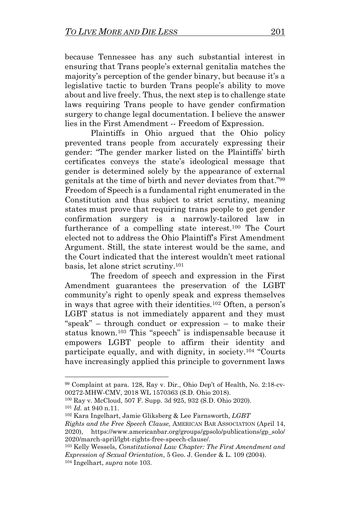because Tennessee has any such substantial interest in ensuring that Trans people's external genitalia matches the majority's perception of the gender binary, but because it's a legislative tactic to burden Trans people's ability to move about and live freely. Thus, the next step is to challenge state laws requiring Trans people to have gender confirmation surgery to change legal documentation. I believe the answer lies in the First Amendment -- Freedom of Expression.

Plaintiffs in Ohio argued that the Ohio policy prevented trans people from accurately expressing their gender: "The gender marker listed on the Plaintiffs' birth certificates conveys the state's ideological message that gender is determined solely by the appearance of external genitals at the time of birth and never deviates from that." 99 Freedom of Speech is a fundamental right enumerated in the Constitution and thus subject to strict scrutiny, meaning states must prove that requiring trans people to get gender confirmation surgery is a narrowly-tailored law in furtherance of a compelling state interest.<sup>100</sup> The Court elected not to address the Ohio Plaintiff's First Amendment Argument. Still, the state interest would be the same, and the Court indicated that the interest wouldn't meet rational basis, let alone strict scrutiny.<sup>101</sup>

The freedom of speech and expression in the First Amendment guarantees the preservation of the LGBT community's right to openly speak and express themselves in ways that agree with their identities.<sup>102</sup> Often, a person's LGBT status is not immediately apparent and they must "speak" – through conduct or expression – to make their status known.<sup>103</sup> This "speech" is indispensable because it empowers LGBT people to affirm their identity and participate equally, and with dignity, in society.<sup>104</sup> "Courts have increasingly applied this principle to government laws

<sup>99</sup> Complaint at para. 128, Ray v. Dir., Ohio Dep't of Health, No. 2:18-cv-00272-MHW-CMV, 2018 WL 1570363 (S.D. Ohio 2018).

<sup>100</sup> Ray v. McCloud, 507 F. Supp. 3d 925, 932 (S.D. Ohio 2020). <sup>101</sup> *Id.* at 940 n.11.

<sup>102</sup> Kara Ingelhart, Jamie Gliksberg & Lee Farnsworth, *LGBT*

*Rights and the Free Speech Clause,* AMERICAN BAR ASSOCIATION (April 14, 2020), https://www.americanbar.org/groups/gpsolo/publications/gp\_solo/ 2020/march-april/lgbt-rights-free-speech-clause/.

<sup>103</sup> Kelly Wessels, *Constitutional Law Chapter: The First Amendment and Expression of Sexual Orientation*, 5 Geo. J. Gender & L. 109 (2004).

<sup>104</sup> Ingelhart, *supra* note 103.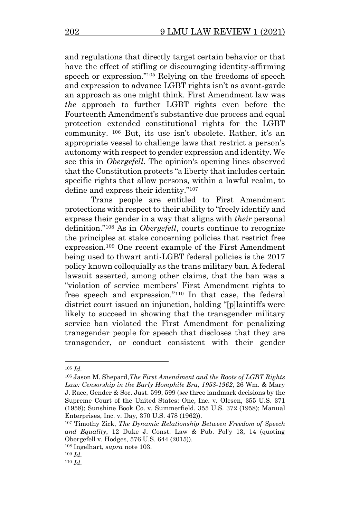and regulations that directly target certain behavior or that have the effect of stifling or discouraging identity-affirming speech or expression."<sup>105</sup> Relying on the freedoms of speech and expression to advance LGBT rights isn't as avant-garde an approach as one might think. First Amendment law was *the* approach to further LGBT rights even before the Fourteenth Amendment's substantive due process and equal protection extended constitutional rights for the LGBT community. <sup>106</sup> But, its use isn't obsolete. Rather, it's an appropriate vessel to challenge laws that restrict a person's autonomy with respect to gender expression and identity. We see this in *Obergefell*. The opinion's opening lines observed that the Constitution protects "a liberty that includes certain specific rights that allow persons, within a lawful realm, to define and express their identity." 107

Trans people are entitled to First Amendment protections with respect to their ability to "freely identify and express their gender in a way that aligns with *their* personal definition."<sup>108</sup> As in *Obergefell*, courts continue to recognize the principles at stake concerning policies that restrict free expression.<sup>109</sup> One recent example of the First Amendment being used to thwart anti-LGBT federal policies is the 2017 policy known colloquially as the trans military ban. A federal lawsuit asserted, among other claims, that the ban was a "violation of service members' First Amendment rights to free speech and expression." <sup>110</sup> In that case, the federal district court issued an injunction, holding "[p]laintiffs were likely to succeed in showing that the transgender military service ban violated the First Amendment for penalizing transgender people for speech that discloses that they are transgender, or conduct consistent with their gender

<sup>105</sup> *Id.*

<sup>106</sup> Jason M. Shepard,*The First Amendment and the Roots of LGBT Rights Law: Censorship in the Early Homphile Era, 1958-1962*, 26 Wm. & Mary J. Race, Gender & Soc. Just. 599, 599 (*see* three landmark decisions by the Supreme Court of the United States: One, Inc. v. Olesen, 355 U.S. 371 (1958); Sunshine Book Co. v. Summerfield, 355 U.S. 372 (1958); Manual Enterprises, Inc. v. Day, 370 U.S. 478 (1962)).

<sup>107</sup> Timothy Zick, *The Dynamic Relationship Between Freedom of Speech and Equality*, 12 Duke J. Const. Law & Pub. Pol'y 13, 14 (quoting Obergefell v. Hodges, 576 U.S. 644 (2015)).

<sup>108</sup> Ingelhart, *supra* note 103.

<sup>109</sup> *Id.*

<sup>110</sup> *Id.*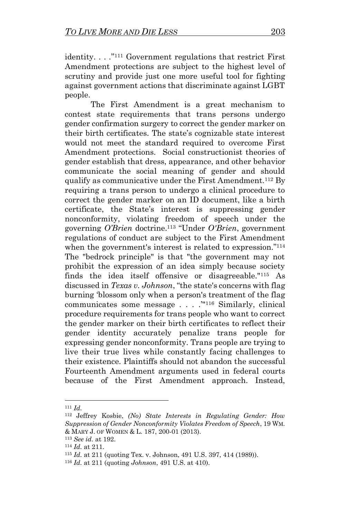identity. . . ." <sup>111</sup> Government regulations that restrict First Amendment protections are subject to the highest level of scrutiny and provide just one more useful tool for fighting against government actions that discriminate against LGBT people.

The First Amendment is a great mechanism to contest state requirements that trans persons undergo gender confirmation surgery to correct the gender marker on their birth certificates. The state's cognizable state interest would not meet the standard required to overcome First Amendment protections. Social constructionist theories of gender establish that dress, appearance, and other behavior communicate the social meaning of gender and should qualify as communicative under the First Amendment.<sup>112</sup> By requiring a trans person to undergo a clinical procedure to correct the gender marker on an ID document, like a birth certificate, the State's interest is suppressing gender nonconformity, violating freedom of speech under the governing *O'Brien* doctrine.<sup>113</sup> "Under *O'Brien*, government regulations of conduct are subject to the First Amendment when the government's interest is related to expression."<sup>114</sup> The "bedrock principle" is that "the government may not prohibit the expression of an idea simply because society finds the idea itself offensive or disagreeable."<sup>115</sup> As discussed in *Texas v. Johnson*, "the state's concerns with flag burning 'blossom only when a person's treatment of the flag communicates some message . . . .'" <sup>116</sup> Similarly, clinical procedure requirements for trans people who want to correct the gender marker on their birth certificates to reflect their gender identity accurately penalize trans people for expressing gender nonconformity. Trans people are trying to live their true lives while constantly facing challenges to their existence. Plaintiffs should not abandon the successful Fourteenth Amendment arguments used in federal courts because of the First Amendment approach. Instead,

<sup>111</sup> *Id.*

<sup>112</sup> Jeffrey Kosbie, *(No) State Interests in Regulating Gender: How Suppression of Gender Nonconformity Violates Freedom of Speech*, 19 WM. & MARY J. OF WOMEN & L. 187, 200-01 (2013).

<sup>113</sup> *See id.* at 192.

<sup>114</sup> *Id.* at 211.

<sup>115</sup> *Id.* at 211 (quoting Tex. v. Johnson, 491 U.S. 397, 414 (1989)).

<sup>116</sup> *Id.* at 211 (quoting *Johnson*, 491 U.S. at 410).